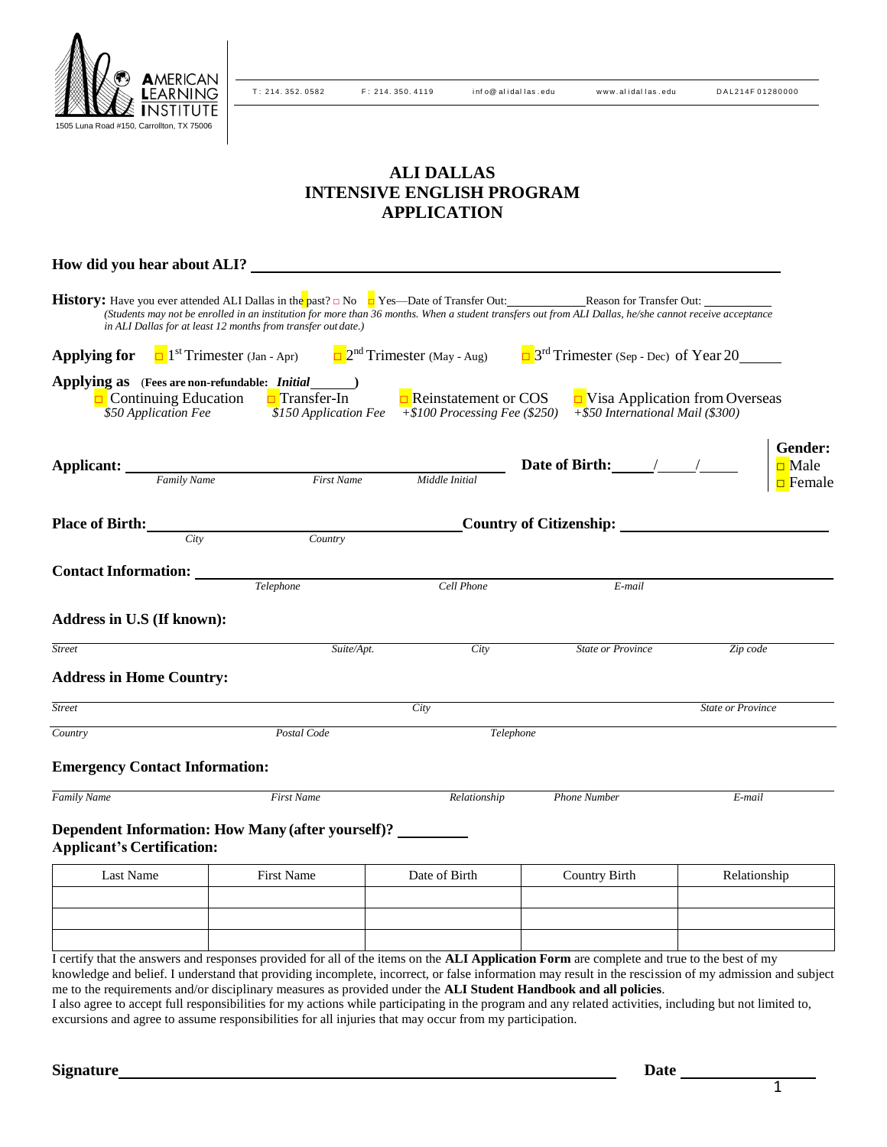

T: 214. 352. 0582 F: 214. 350. 4119 info@ alidal las. edu www.alidal las. edu DAL 214F 01280000

# **ALI DALLAS INTENSIVE ENGLISH PROGRAM APPLICATION**

| How did you hear about ALI?                         |                                                                                                                                                                                                                                                                                                                                       |                                                                 |                                                                              |                                     |
|-----------------------------------------------------|---------------------------------------------------------------------------------------------------------------------------------------------------------------------------------------------------------------------------------------------------------------------------------------------------------------------------------------|-----------------------------------------------------------------|------------------------------------------------------------------------------|-------------------------------------|
|                                                     | <b>History:</b> Have you ever attended ALI Dallas in the past? $\Box$ No $\Box$ Yes—Date of Transfer Out:<br>(Students may not be enrolled in an institution for more than 36 months. When a student transfers out from ALI Dallas, he/she cannot receive acceptance<br>in ALI Dallas for at least 12 months from transfer out date.) |                                                                 | Reason for Transfer Out:                                                     |                                     |
| <b>Applying for</b>                                 | $\Box$ 1 <sup>st</sup> Trimester (Jan - Apr)                                                                                                                                                                                                                                                                                          | $\square$ 2 <sup>nd</sup> Trimester (May - Aug)                 | $\Box$ 3 <sup>rd</sup> Trimester (Sep - Dec) of Year 20                      |                                     |
| $\Box$ Continuing Education<br>\$50 Application Fee | Applying as (Fees are non-refundable: Initial_____)<br>$\Box$ Transfer-In<br>\$150 Application Fee                                                                                                                                                                                                                                    | $\Box$ Reinstatement or COS<br>$+$ \$100 Processing Fee (\$250) | $\Box$ Visa Application from Overseas<br>$+$ \$50 International Mail (\$300) |                                     |
| Applicant:<br>Family Name                           | <b>First Name</b>                                                                                                                                                                                                                                                                                                                     | Middle Initial                                                  |                                                                              | Gender:<br>$\square$ Male<br>Female |
| Place of Birth:                                     |                                                                                                                                                                                                                                                                                                                                       |                                                                 |                                                                              |                                     |
| City                                                | Country                                                                                                                                                                                                                                                                                                                               |                                                                 |                                                                              |                                     |
| <b>Contact Information:</b>                         | Telephone                                                                                                                                                                                                                                                                                                                             | Cell Phone                                                      | E-mail                                                                       |                                     |
| Address in U.S (If known):                          |                                                                                                                                                                                                                                                                                                                                       |                                                                 |                                                                              |                                     |
| <b>Street</b>                                       | Suite/Apt.                                                                                                                                                                                                                                                                                                                            | City                                                            | <b>State or Province</b>                                                     | Zip code                            |
| <b>Address in Home Country:</b>                     |                                                                                                                                                                                                                                                                                                                                       |                                                                 |                                                                              |                                     |
| <b>Street</b>                                       |                                                                                                                                                                                                                                                                                                                                       | Citv                                                            |                                                                              | <b>State or Province</b>            |
| Country                                             | Postal Code                                                                                                                                                                                                                                                                                                                           | Telephone                                                       |                                                                              |                                     |
| <b>Emergency Contact Information:</b>               |                                                                                                                                                                                                                                                                                                                                       |                                                                 |                                                                              |                                     |
| Family Name                                         | <b>First Name</b>                                                                                                                                                                                                                                                                                                                     | Relationship                                                    | Phone Number                                                                 | E-mail                              |
| <b>Applicant's Certification:</b>                   | Dependent Information: How Many (after yourself)?                                                                                                                                                                                                                                                                                     |                                                                 |                                                                              |                                     |
| Last Name                                           | <b>First Name</b>                                                                                                                                                                                                                                                                                                                     | Date of Birth                                                   | <b>Country Birth</b>                                                         | Relationship                        |
|                                                     |                                                                                                                                                                                                                                                                                                                                       |                                                                 |                                                                              |                                     |
|                                                     |                                                                                                                                                                                                                                                                                                                                       |                                                                 |                                                                              |                                     |
|                                                     | I certify that the answers and responses provided for all of the items on the ALI Application Form are complete and true to the best of my<br>knowledge and belief. I understand that providing incomplete, incorrect, or false information may result in the rescission of my admission and subject                                  |                                                                 |                                                                              |                                     |
|                                                     | me to the requirements and/or disciplinary measures as provided under the ALI Student Handbook and all policies.                                                                                                                                                                                                                      |                                                                 |                                                                              |                                     |

I also agree to accept full responsibilities for my actions while participating in the program and any related activities, including but not limited to, excursions and agree to assume responsibilities for all injuries that may occur from my participation.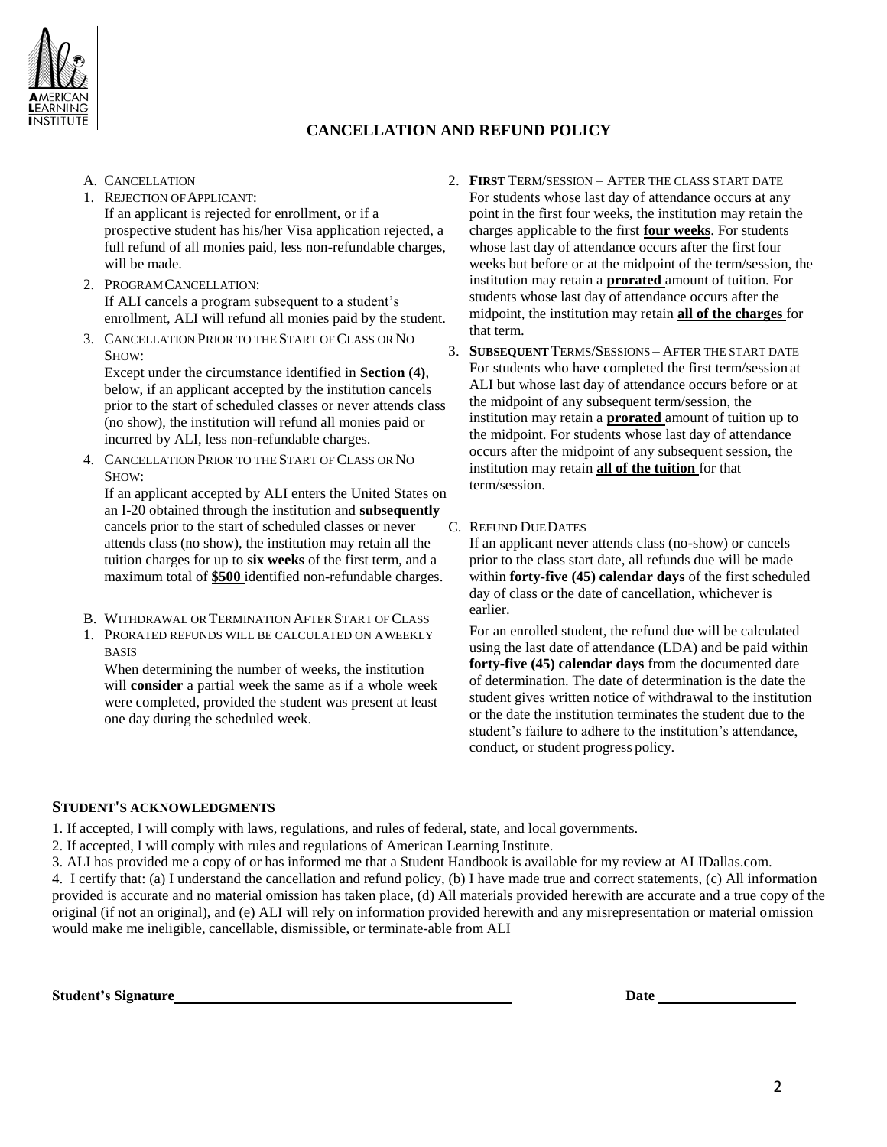

## **CANCELLATION AND REFUND POLICY**

- A. CANCELLATION
- 1. REJECTION OFAPPLICANT: If an applicant is rejected for enrollment, or if a prospective student has his/her Visa application rejected, a full refund of all monies paid, less non-refundable charges, will be made.
- 2. PROGRAMCANCELLATION: If ALI cancels a program subsequent to a student's enrollment, ALI will refund all monies paid by the student.
- 3. CANCELLATION PRIOR TO THE START OFCLASS OR NO SHOW:

Except under the circumstance identified in **Section (4)**, below, if an applicant accepted by the institution cancels prior to the start of scheduled classes or never attends class (no show), the institution will refund all monies paid or incurred by ALI, less non-refundable charges.

4. CANCELLATION PRIOR TO THE START OF CLASS OR NO SHOW:

If an applicant accepted by ALI enters the United States on an I-20 obtained through the institution and **subsequently**  cancels prior to the start of scheduled classes or never attends class (no show), the institution may retain all the tuition charges for up to **six weeks** of the first term, and a maximum total of **\$500** identified non-refundable charges.

- B. WITHDRAWAL OR TERMINATION AFTER START OF CLASS
- 1. PRORATED REFUNDS WILL BE CALCULATED ON AWEEKLY **BASIS**

When determining the number of weeks, the institution will **consider** a partial week the same as if a whole week were completed, provided the student was present at least one day during the scheduled week.

- 2. **FIRST** TERM/SESSION AFTER THE CLASS START DATE For students whose last day of attendance occurs at any point in the first four weeks, the institution may retain the charges applicable to the first **four weeks**. For students whose last day of attendance occurs after the first four weeks but before or at the midpoint of the term/session, the institution may retain a **prorated** amount of tuition. For students whose last day of attendance occurs after the midpoint, the institution may retain **all of the charges** for that term.
- 3. **SUBSEQUENT** TERMS/SESSIONS AFTER THE START DATE For students who have completed the first term/session at ALI but whose last day of attendance occurs before or at the midpoint of any subsequent term/session, the institution may retain a **prorated** amount of tuition up to the midpoint. For students whose last day of attendance occurs after the midpoint of any subsequent session, the institution may retain **all of the tuition** for that term/session.
- C. REFUND DUEDATES

If an applicant never attends class (no-show) or cancels prior to the class start date, all refunds due will be made within **forty-five (45) calendar days** of the first scheduled day of class or the date of cancellation, whichever is earlier.

For an enrolled student, the refund due will be calculated using the last date of attendance (LDA) and be paid within **forty-five (45) calendar days** from the documented date of determination. The date of determination is the date the student gives written notice of withdrawal to the institution or the date the institution terminates the student due to the student's failure to adhere to the institution's attendance, conduct, or student progress policy.

### **STUDENT'S ACKNOWLEDGMENTS**

1. If accepted, I will comply with laws, regulations, and rules of federal, state, and local governments.

- 2. If accepted, I will comply with rules and regulations of American Learning Institute.
- 3. ALI has provided me a copy of or has informed me that a Student Handbook is available for my review at ALIDallas.com.

4. I certify that: (a) I understand the cancellation and refund policy, (b) I have made true and correct statements, (c) All information provided is accurate and no material omission has taken place, (d) All materials provided herewith are accurate and a true copy of the original (if not an original), and (e) ALI will rely on information provided herewith and any misrepresentation or material omission would make me ineligible, cancellable, dismissible, or terminate-able from ALI

**Student's Signature Date**